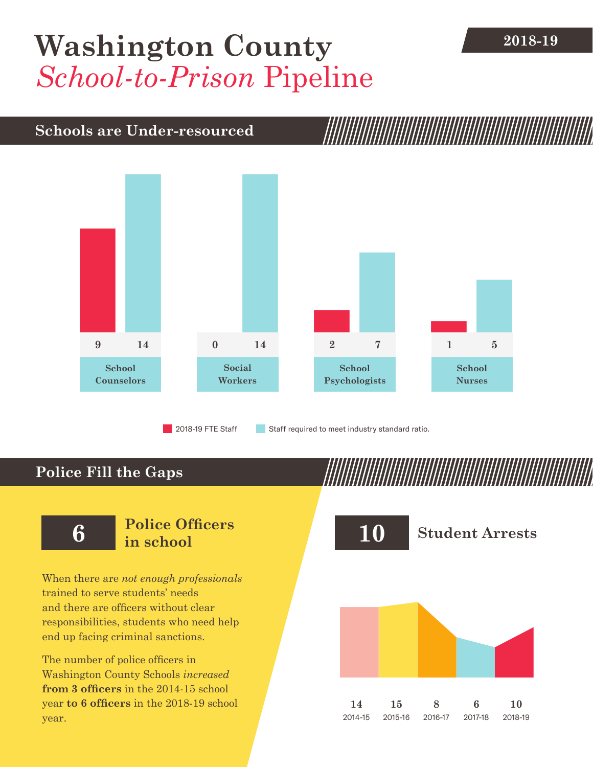## **[Washington County](DBF_County)** 2018-19 *School-to-Prison* Pipeline

### **Schools are Under-resourced**



2018-19 FTE Staff **Staff required to meet industry standard ratio.** 

## **Police Fill the Gaps**

When there are *not enough professionals* trained to serve students' needs and there are officers without clear responsibilities, students who need help end up facing criminal sanctions.

The number of police officers in [Washington County](DBF_County) Schools *increased* **from [3](DBF_PO1415) officers** in the 2014-15 school year **to [6](DBF_PO) officers** in the 2018-19 school year.